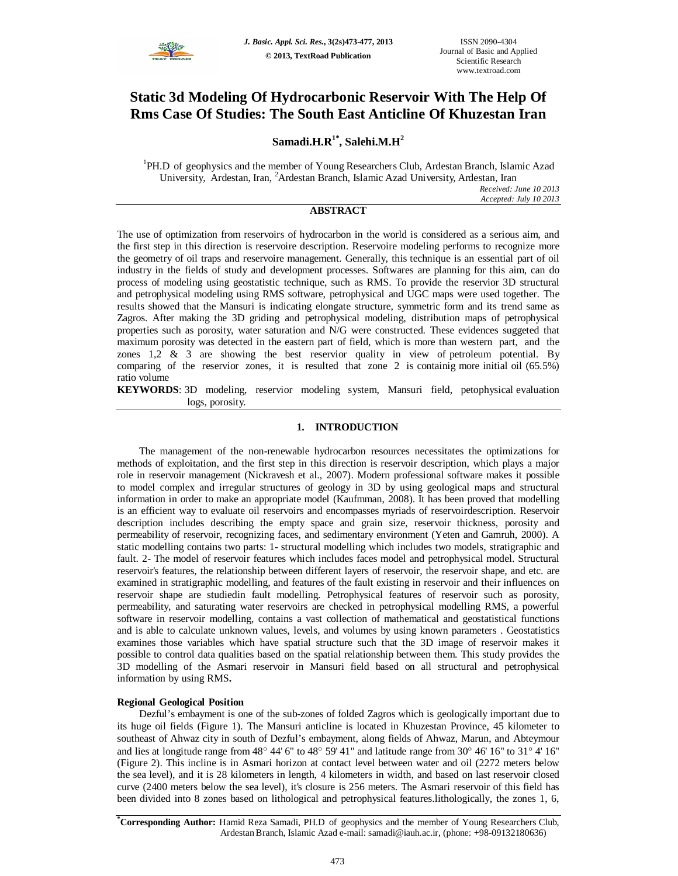

# **Static 3d Modeling Of Hydrocarbonic Reservoir With The Help Of Rms Case Of Studies: The South East Anticline Of Khuzestan Iran**

**Samadi.H.R1\* , Salehi.M.H<sup>2</sup>**

<sup>1</sup>PH.D of geophysics and the member of Young Researchers Club, Ardestan Branch, Islamic Azad University, Ardestan, Iran, <sup>2</sup>Ardestan Branch, Islamic Azad University, Ardestan, Iran

*Received: June 10 2013 Accepted: July 10 2013*

# **ABSTRACT**

The use of optimization from reservoirs of hydrocarbon in the world is considered as a serious aim, and the first step in this direction is reservoire description. Reservoire modeling performs to recognize more the geometry of oil traps and reservoire management. Generally, this technique is an essential part of oil industry in the fields of study and development processes. Softwares are planning for this aim, can do process of modeling using geostatistic technique, such as RMS. To provide the reservior 3D structural and petrophysical modeling using RMS software, petrophysical and UGC maps were used together. The results showed that the Mansuri is indicating elongate structure, symmetric form and its trend same as Zagros. After making the 3D griding and petrophysical modeling, distribution maps of petrophysical properties such as porosity, water saturation and N/G were constructed. These evidences suggeted that maximum porosity was detected in the eastern part of field, which is more than western part, and the zones 1,2  $\&$  3 are showing the best reservior quality in view of petroleum potential. By comparing of the reservior zones, it is resulted that zone 2 is containig more initial oil (65.5%) ratio volume

**KEYWORDS**: 3D modeling, reservior modeling system, Mansuri field, petophysical evaluation logs, porosity.

# **1. INTRODUCTION**

The management of the non-renewable hydrocarbon resources necessitates the optimizations for methods of exploitation, and the first step in this direction is reservoir description, which plays a major role in reservoir management (Nickravesh et al., 2007). Modern professional software makes it possible to model complex and irregular structures of geology in 3D by using geological maps and structural information in order to make an appropriate model (Kaufmman, 2008). It has been proved that modelling is an efficient way to evaluate oil reservoirs and encompasses myriads of reservoirdescription. Reservoir description includes describing the empty space and grain size, reservoir thickness, porosity and permeability of reservoir, recognizing faces, and sedimentary environment (Yeten and Gamruh, 2000). A static modelling contains two parts: 1- structural modelling which includes two models, stratigraphic and fault. 2- The model of reservoir features which includes faces model and petrophysical model. Structural reservoir's features, the relationship between different layers of reservoir, the reservoir shape, and etc. are examined in stratigraphic modelling, and features of the fault existing in reservoir and their influences on reservoir shape are studiedin fault modelling. Petrophysical features of reservoir such as porosity, permeability, and saturating water reservoirs are checked in petrophysical modelling RMS, a powerful software in reservoir modelling, contains a vast collection of mathematical and geostatistical functions and is able to calculate unknown values, levels, and volumes by using known parameters . Geostatistics examines those variables which have spatial structure such that the 3D image of reservoir makes it possible to control data qualities based on the spatial relationship between them. This study provides the 3D modelling of the Asmari reservoir in Mansuri field based on all structural and petrophysical information by using RMS**.**

### **Regional Geological Position**

Dezful's embayment is one of the sub-zones of folded Zagros which is geologically important due to its huge oil fields (Figure 1). The Mansuri anticline is located in Khuzestan Province, 45 kilometer to southeast of Ahwaz city in south of Dezful's embayment, along fields of Ahwaz, Marun, and Abteymour and lies at longitude range from 48° 44' 6" to 48° 59' 41" and latitude range from  $30^{\circ}$  46' 16" to  $31^{\circ}$  4' 16" (Figure 2). This incline is in Asmari horizon at contact level between water and oil (2272 meters below the sea level), and it is 28 kilometers in length, 4 kilometers in width, and based on last reservoir closed curve (2400 meters below the sea level), it's closure is 256 meters. The Asmari reservoir of this field has been divided into 8 zones based on lithological and petrophysical features.lithologically, the zones 1, 6,

**\*Corresponding Author:** Hamid Reza Samadi, PH.D of geophysics and the member of Young Researchers Club, ArdestanBranch, Islamic Azad e-mail: samadi@iauh.ac.ir, (phone: +98-09132180636)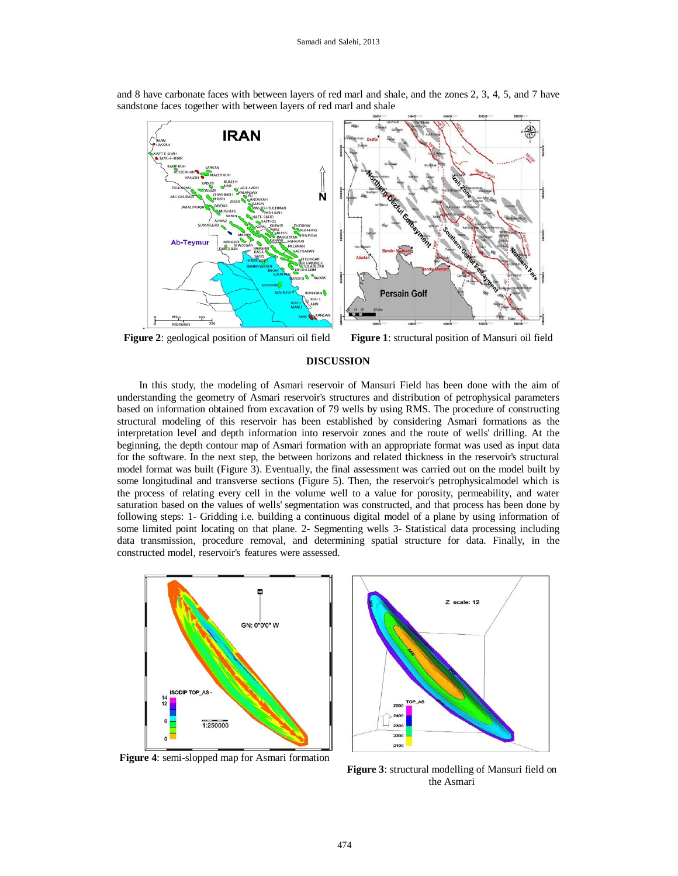

and 8 have carbonate faces with between layers of red marl and shale, and the zones 2, 3, 4, 5, and 7 have sandstone faces together with between layers of red marl and shale

**Figure 2**: geological position of Mansuri oil field Figure 1: structural position of Mansuri oil field

## **DISCUSSION**

In this study, the modeling of Asmari reservoir of Mansuri Field has been done with the aim of understanding the geometry of Asmari reservoir's structures and distribution of petrophysical parameters based on information obtained from excavation of 79 wells by using RMS. The procedure of constructing structural modeling of this reservoir has been established by considering Asmari formations as the interpretation level and depth information into reservoir zones and the route of wells' drilling. At the beginning, the depth contour map of Asmari formation with an appropriate format was used as input data for the software. In the next step, the between horizons and related thickness in the reservoir's structural model format was built (Figure 3). Eventually, the final assessment was carried out on the model built by some longitudinal and transverse sections (Figure 5). Then, the reservoir's petrophysicalmodel which is the process of relating every cell in the volume well to a value for porosity, permeability, and water saturation based on the values of wells' segmentation was constructed, and that process has been done by following steps: 1- Gridding i.e. building a continuous digital model of a plane by using information of some limited point locating on that plane. 2- Segmenting wells 3- Statistical data processing including data transmission, procedure removal, and determining spatial structure for data. Finally, in the constructed model, reservoir's features were assessed.



**Figure 4**: semi-slopped map for Asmari formation



**Figure 3**: structural modelling of Mansuri field on the Asmari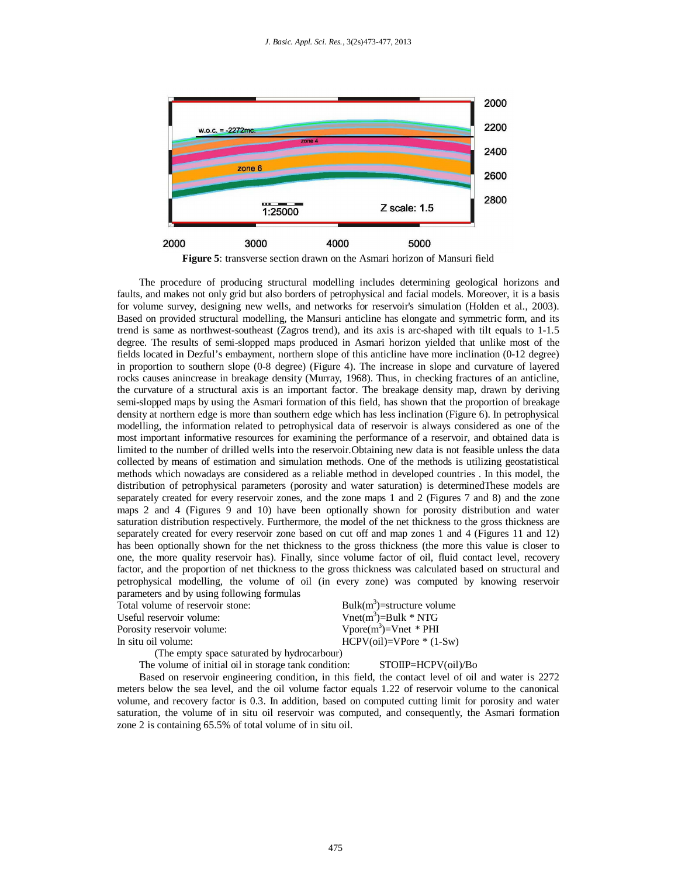

**Figure 5**: transverse section drawn on the Asmari horizon of Mansuri field

The procedure of producing structural modelling includes determining geological horizons and faults, and makes not only grid but also borders of petrophysical and facial models. Moreover, it is a basis for volume survey, designing new wells, and networks for reservoir's simulation (Holden et al., 2003). Based on provided structural modelling, the Mansuri anticline has elongate and symmetric form, and its trend is same as northwest-southeast (Zagros trend), and its axis is arc-shaped with tilt equals to 1-1.5 degree. The results of semi-slopped maps produced in Asmari horizon yielded that unlike most of the fields located in Dezful's embayment, northern slope of this anticline have more inclination (0-12 degree) in proportion to southern slope (0-8 degree) (Figure 4). The increase in slope and curvature of layered rocks causes anincrease in breakage density (Murray, 1968). Thus, in checking fractures of an anticline, the curvature of a structural axis is an important factor. The breakage density map, drawn by deriving semi-slopped maps by using the Asmari formation of this field, has shown that the proportion of breakage density at northern edge is more than southern edge which has less inclination (Figure 6). In petrophysical modelling, the information related to petrophysical data of reservoir is always considered as one of the most important informative resources for examining the performance of a reservoir, and obtained data is limited to the number of drilled wells into the reservoir.Obtaining new data is not feasible unless the data collected by means of estimation and simulation methods. One of the methods is utilizing geostatistical methods which nowadays are considered as a reliable method in developed countries . In this model, the distribution of petrophysical parameters (porosity and water saturation) is determinedThese models are separately created for every reservoir zones, and the zone maps 1 and 2 (Figures 7 and 8) and the zone maps 2 and 4 (Figures 9 and 10) have been optionally shown for porosity distribution and water saturation distribution respectively. Furthermore, the model of the net thickness to the gross thickness are separately created for every reservoir zone based on cut off and map zones 1 and 4 (Figures 11 and 12) has been optionally shown for the net thickness to the gross thickness (the more this value is closer to one, the more quality reservoir has). Finally, since volume factor of oil, fluid contact level, recovery factor, and the proportion of net thickness to the gross thickness was calculated based on structural and petrophysical modelling, the volume of oil (in every zone) was computed by knowing reservoir parameters and by using following formulas ructure volume

| Bulk $(m^3)$ =structure volu     |
|----------------------------------|
| Vnet(m <sup>3</sup> )=Bulk * NTG |
| $Vpore(m^3) = Vnet * PHI$        |
| $HCPV$ (oil)= $VP$ ore $*$ (1    |
|                                  |

Vnet \* PHI  $N$ Pore  $*(1-Sw)$ 

(The empty space saturated by hydrocarbour)

### The volume of initial oil in storage tank condition: STOIIP=HCPV(oil)/Bo

Based on reservoir engineering condition, in this field, the contact level of oil and water is 2272 meters below the sea level, and the oil volume factor equals 1.22 of reservoir volume to the canonical volume, and recovery factor is 0.3. In addition, based on computed cutting limit for porosity and water saturation, the volume of in situ oil reservoir was computed, and consequently, the Asmari formation zone 2 is containing 65.5% of total volume of in situ oil.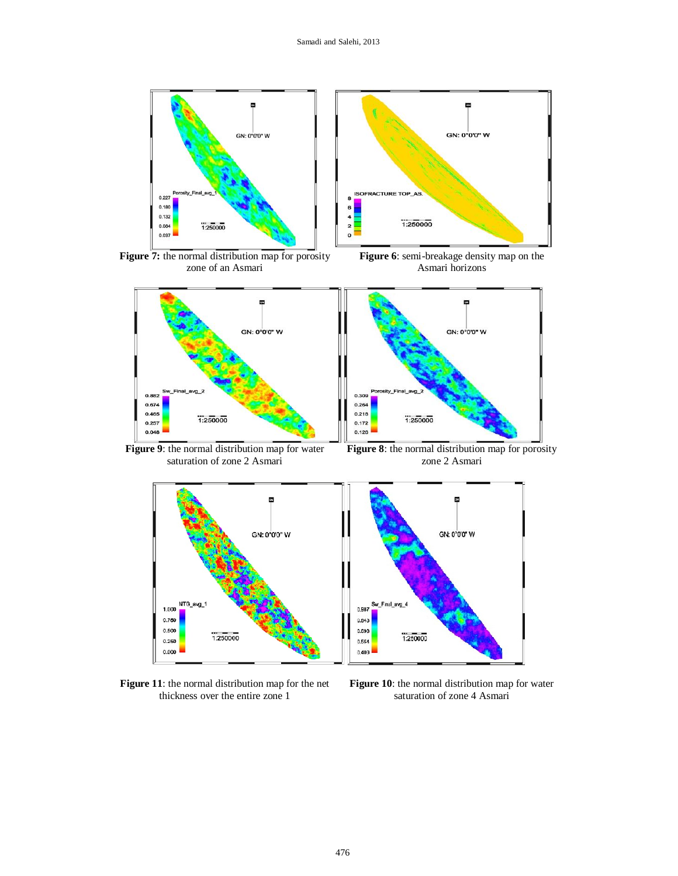

zone of an Asmari

Asmari horizons



**Figure 9**: the normal distribution map for water saturation of zone 2 Asmari

**Figure 8**: the normal distribution map for porosity zone 2 Asmari



**Figure 11**: the normal distribution map for the net thickness over the entire zone 1

**Figure 10**: the normal distribution map for water saturation of zone 4 Asmari